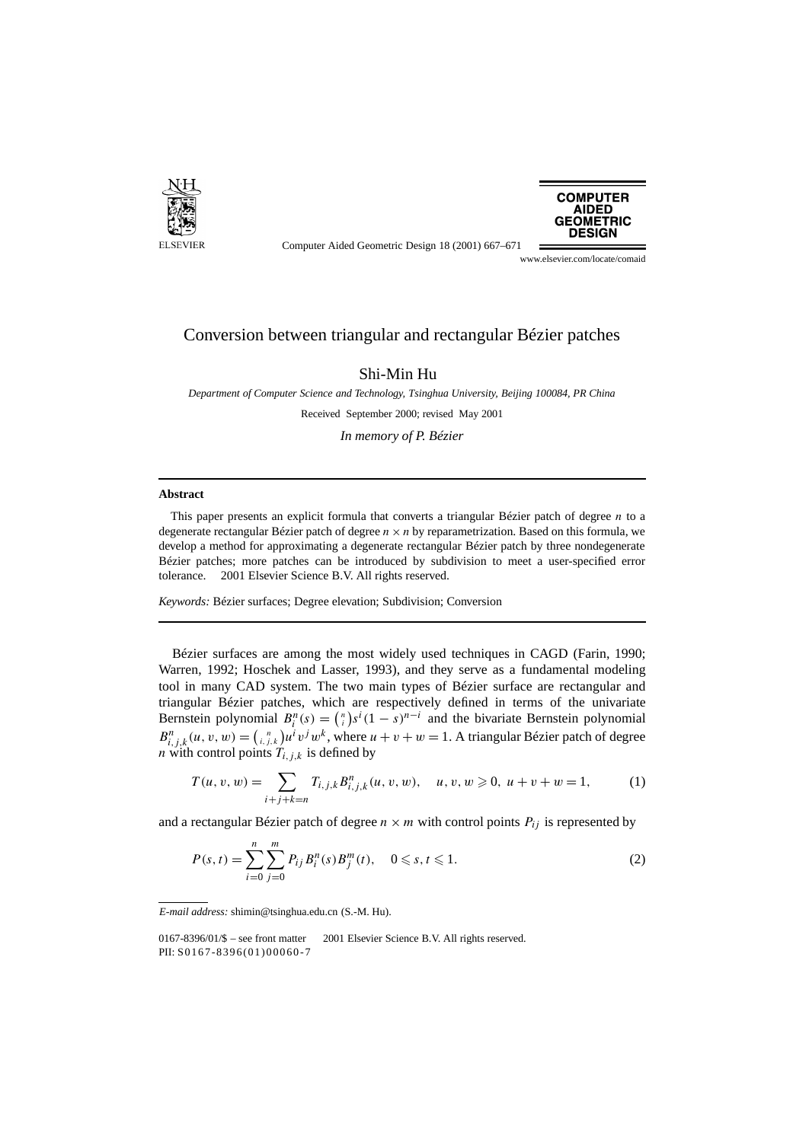

**AIDED GEOMETRIC DESIGN** 

**COMPUTER** 

Computer Aided Geometric Design 18 (2001) 667–671 www.elsevier.com/locate/comaid

# Conversion between triangular and rectangular Bézier patches

# Shi-Min Hu

*Department of Computer Science and Technology, Tsinghua University, Beijing 100084, PR China* Received September 2000; revised May 2001

*In memory of P. Bézier*

#### **Abstract**

This paper presents an explicit formula that converts a triangular Bézier patch of degree *n* to a degenerate rectangular Bézier patch of degree  $n \times n$  by reparametrization. Based on this formula, we develop a method for approximating a degenerate rectangular Bézier patch by three nondegenerate Bézier patches; more patches can be introduced by subdivision to meet a user-specified error tolerance.  $© 2001$  Elsevier Science B.V. All rights reserved.

*Keywords:* Bézier surfaces; Degree elevation; Subdivision; Conversion

Bézier surfaces are among the most widely used techniques in CAGD (Farin, 1990; Warren, 1992; Hoschek and Lasser, 1993), and they serve as a fundamental modeling tool in many CAD system. The two main types of Bézier surface are rectangular and triangular Bézier patches, which are respectively defined in terms of the univariate Bernstein polynomial  $B_i^n(s) = {n \choose i} s^i (1-s)^{n-i}$  and the bivariate Bernstein polynomial  $B_{i,j,k}^n(u, v, w) = {n \choose i,j,k} u^i v^j w^k$ , where  $u + v + w = 1$ . A triangular Bézier patch of degree *n* with control points  $T_{i,j,k}$  is defined by

$$
T(u, v, w) = \sum_{i+j+k=n} T_{i,j,k} B_{i,j,k}^n(u, v, w), \quad u, v, w \ge 0, \ u + v + w = 1,
$$
 (1)

and a rectangular Bézier patch of degree  $n \times m$  with control points  $P_{ij}$  is represented by

$$
P(s,t) = \sum_{i=0}^{n} \sum_{j=0}^{m} P_{ij} B_i^n(s) B_j^m(t), \quad 0 \le s, t \le 1.
$$
 (2)

*E-mail address:* shimin@tsinghua.edu.cn (S.-M. Hu).

<sup>0167-8396/01/\$ –</sup> see front matter  $\odot$  2001 Elsevier Science B.V. All rights reserved. PII: S0167-8396(01)00060-7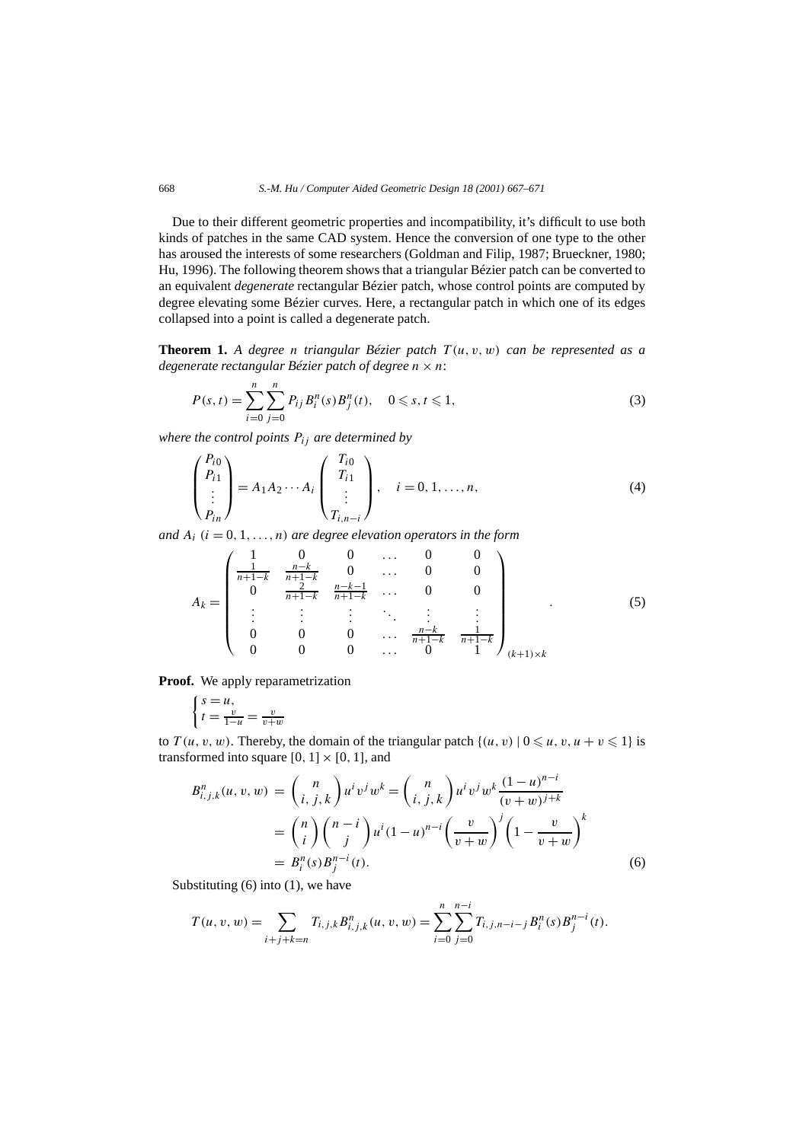Due to their different geometric properties and incompatibility, it's difficult to use both kinds of patches in the same CAD system. Hence the conversion of one type to the other has aroused the interests of some researchers (Goldman and Filip, 1987; Brueckner, 1980; Hu, 1996). The following theorem shows that a triangular Bézier patch can be converted to an equivalent *degenerate* rectangular Bézier patch, whose control points are computed by degree elevating some Bézier curves. Here, a rectangular patch in which one of its edges collapsed into a point is called a degenerate patch.

**Theorem 1.** *A degree n triangular Bézier patch T (u, v, w) can be represented as a degenerate rectangular Bézier patch of degree n* × *n*:

$$
P(s,t) = \sum_{i=0}^{n} \sum_{j=0}^{n} P_{ij} B_i^n(s) B_j^n(t), \quad 0 \le s, t \le 1,
$$
\n(3)

*where the control points Pij are determined by*

$$
\begin{pmatrix} P_{i0} \\ P_{i1} \\ \vdots \\ P_{in} \end{pmatrix} = A_1 A_2 \cdots A_i \begin{pmatrix} T_{i0} \\ T_{i1} \\ \vdots \\ T_{i,n-i} \end{pmatrix}, \quad i = 0, 1, ..., n,
$$
 (4)

*and*  $A_i$   $(i = 0, 1, \ldots, n)$  *are degree elevation operators in the form* 

$$
A_{k} = \begin{pmatrix} 1 & 0 & 0 & \dots & 0 & 0 \\ \frac{1}{n+1-k} & \frac{n-k}{n+1-k} & 0 & \dots & 0 & 0 \\ 0 & \frac{2}{n+1-k} & \frac{n-k-1}{n+1-k} & \dots & 0 & 0 \\ \vdots & \vdots & \vdots & \ddots & \vdots & \vdots \\ 0 & 0 & 0 & \dots & \frac{n-k}{n+1-k} & \frac{1}{n+1-k} \\ 0 & 0 & 0 & \dots & 0 & 1 \end{pmatrix}_{(k+1)\times k}
$$
(5)

**Proof.** We apply reparametrization

$$
\begin{cases} s = u, \\ t = \frac{v}{1 - u} = \frac{v}{v + w} \end{cases}
$$

to  $T(u, v, w)$ . Thereby, the domain of the triangular patch  $\{(u, v) \mid 0 \leq u, v, u + v \leq 1\}$  is transformed into square  $[0, 1] \times [0, 1]$ , and

$$
B_{i,j,k}^{n}(u, v, w) = {n \choose i, j, k} u^{i} v^{j} w^{k} = {n \choose i, j, k} u^{i} v^{j} w^{k} \frac{(1 - u)^{n - i}}{(v + w)^{j + k}}
$$
  
=  ${n \choose i} {n - i \choose j} u^{i} (1 - u)^{n - i} \left(\frac{v}{v + w}\right)^{j} \left(1 - \frac{v}{v + w}\right)^{k}$   
=  $B_{i}^{n}(s) B_{j}^{n - i}(t).$  (6)

Substituting  $(6)$  into  $(1)$ , we have

$$
T(u, v, w) = \sum_{i+j+k=n} T_{i,j,k} B_{i,j,k}^n(u, v, w) = \sum_{i=0}^n \sum_{j=0}^{n-i} T_{i,j,n-i-j} B_i^n(s) B_j^{n-i}(t).
$$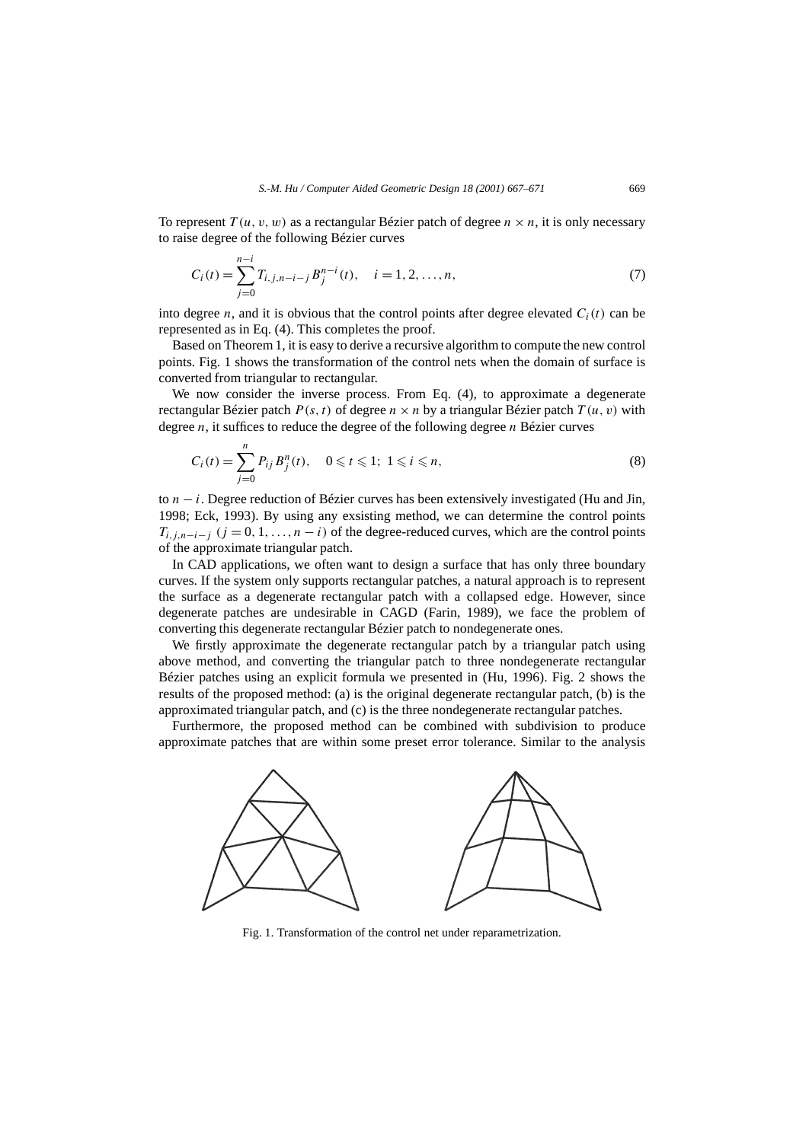To represent  $T(u, v, w)$  as a rectangular Bézier patch of degree  $n \times n$ , it is only necessary to raise degree of the following Bézier curves

$$
C_i(t) = \sum_{j=0}^{n-i} T_{i,j,n-i-j} B_j^{n-i}(t), \quad i = 1, 2, ..., n,
$$
 (7)

into degree *n*, and it is obvious that the control points after degree elevated  $C<sub>i</sub>(t)$  can be represented as in Eq. (4). This completes the proof.

Based on Theorem 1, it is easy to derive a recursive algorithm to compute the new control points. Fig. 1 shows the transformation of the control nets when the domain of surface is converted from triangular to rectangular.

We now consider the inverse process. From Eq. (4), to approximate a degenerate rectangular Bézier patch  $P(s, t)$  of degree  $n \times n$  by a triangular Bézier patch  $T(u, v)$  with degree *n*, it suffices to reduce the degree of the following degree *n* Bézier curves

$$
C_i(t) = \sum_{j=0}^{n} P_{ij} B_j^n(t), \quad 0 \leq t \leq 1; \ 1 \leq i \leq n,
$$
\n(8)

to *n* − *i*. Degree reduction of Bézier curves has been extensively investigated (Hu and Jin, 1998; Eck, 1993). By using any exsisting method, we can determine the control points  $T_{i,j,n-i-j}$  ( $j = 0, 1, \ldots, n-i$ ) of the degree-reduced curves, which are the control points of the approximate triangular patch.

In CAD applications, we often want to design a surface that has only three boundary curves. If the system only supports rectangular patches, a natural approach is to represent the surface as a degenerate rectangular patch with a collapsed edge. However, since degenerate patches are undesirable in CAGD (Farin, 1989), we face the problem of converting this degenerate rectangular Bézier patch to nondegenerate ones.

We firstly approximate the degenerate rectangular patch by a triangular patch using above method, and converting the triangular patch to three nondegenerate rectangular Bézier patches using an explicit formula we presented in (Hu, 1996). Fig. 2 shows the results of the proposed method: (a) is the original degenerate rectangular patch, (b) is the approximated triangular patch, and (c) is the three nondegenerate rectangular patches.

Furthermore, the proposed method can be combined with subdivision to produce approximate patches that are within some preset error tolerance. Similar to the analysis



Fig. 1. Transformation of the control net under reparametrization.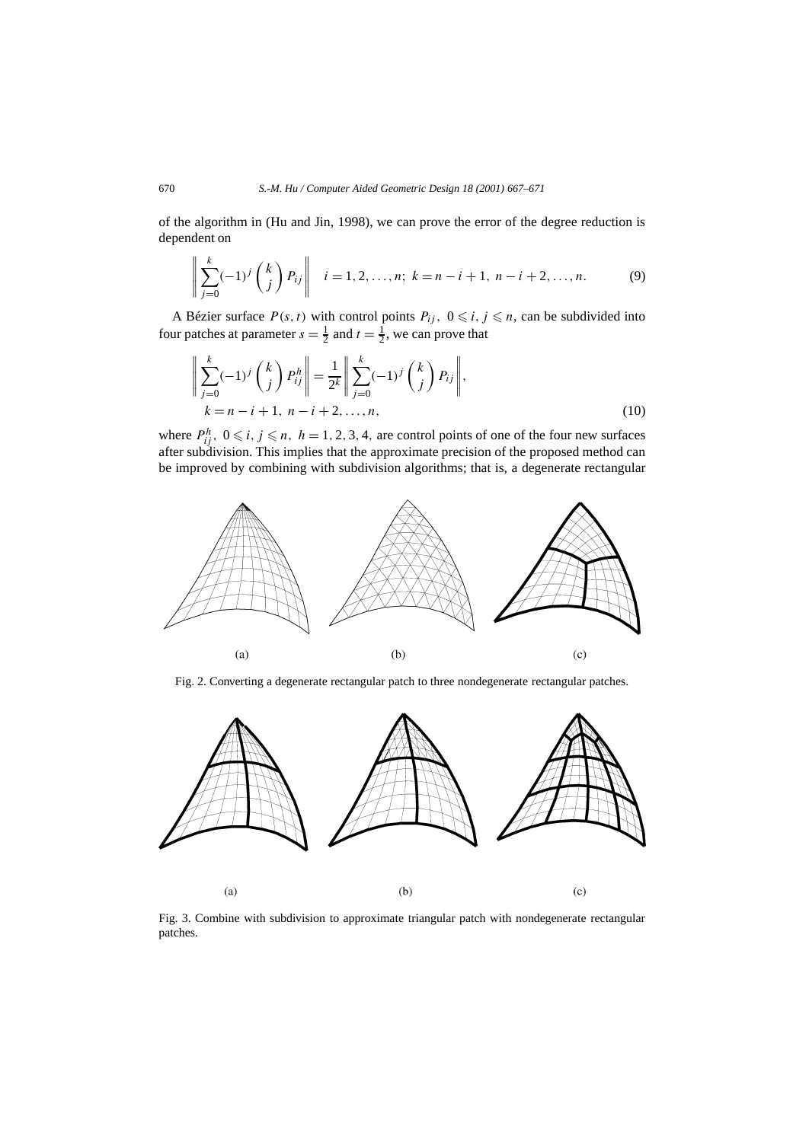of the algorithm in (Hu and Jin, 1998), we can prove the error of the degree reduction is dependent on

$$
\left\| \sum_{j=0}^{k} (-1)^{j} {k \choose j} P_{ij} \right\| i = 1, 2, ..., n; k = n - i + 1, n - i + 2, ..., n.
$$
 (9)

A Bézier surface  $P(s, t)$  with control points  $P_{ij}$ ,  $0 \leq i, j \leq n$ , can be subdivided into four patches at parameter  $s = \frac{1}{2}$  and  $t = \frac{1}{2}$ , we can prove that

$$
\left\| \sum_{j=0}^{k} (-1)^{j} {k \choose j} P_{ij}^{h} \right\| = \frac{1}{2^{k}} \left\| \sum_{j=0}^{k} (-1)^{j} {k \choose j} P_{ij} \right\|,
$$
  
\n $k = n - i + 1, n - i + 2, ..., n,$  (10)

where  $P_{ij}^h$ ,  $0 \le i, j \le n$ ,  $h = 1, 2, 3, 4$ , are control points of one of the four new surfaces after subdivision. This implies that the approximate precision of the proposed method can be improved by combining with subdivision algorithms; that is, a degenerate rectangular



Fig. 2. Converting a degenerate rectangular patch to three nondegenerate rectangular patches.



Fig. 3. Combine with subdivision to approximate triangular patch with nondegenerate rectangular patches.